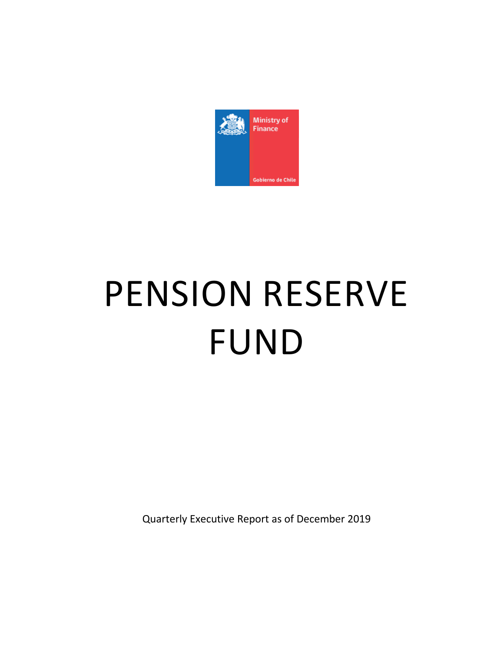

# PENSION RESERVE FUND

Quarterly Executive Report as of December 2019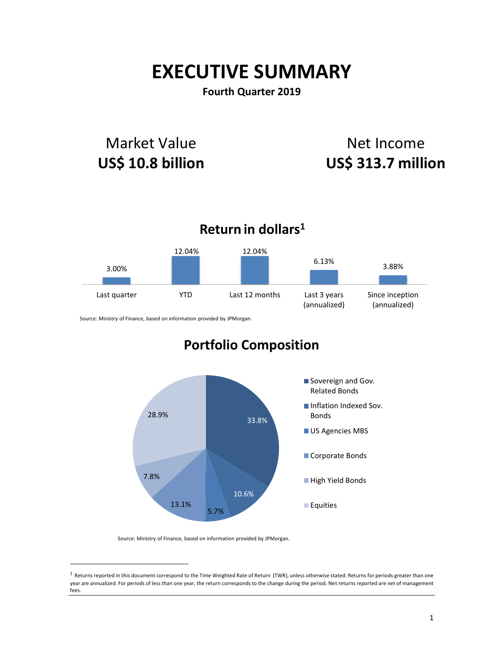# **EXECUTIVE SUMMARY**

## **Fourth Quarter 2019**

# Market Value **US\$ 10.8 billion**

# Net Income **US\$ 313.7 million**



Source: Ministry of Finance, based on information provided by JPMorgan.

# **Portfolio Composition**



Source: Ministry of Finance, based on information provided by JPMorgan.

 $\overline{a}$ 

 $1$  Returns reported in this document correspond to the Time Weighted Rate of Return (TWR), unless otherwise stated. Returns for periods greater than one year are annualized. For periods of less than one year, the return corresponds to the change during the period. Net returns reported are net of management fees.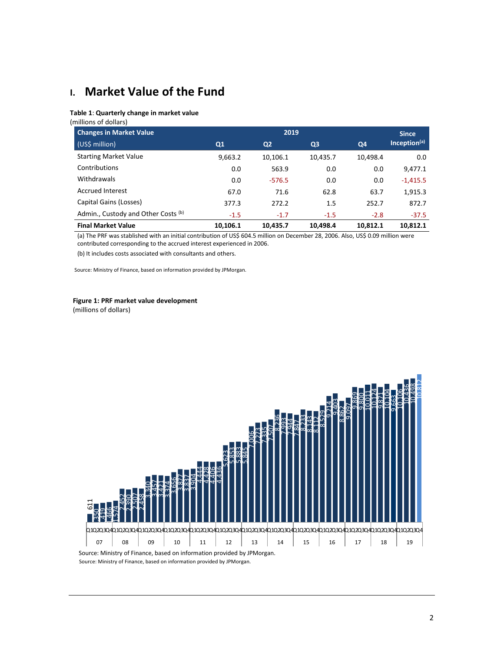# **I. Market Value of the Fund**

#### **Table 1**: **Quarterly change in market value**

(millions of dollars)

| <b>Changes in Market Value</b>      | 2019     |                |                |          | <b>Since</b>             |
|-------------------------------------|----------|----------------|----------------|----------|--------------------------|
| (US\$ million)                      | Q1       | Q <sub>2</sub> | Q <sub>3</sub> | Q4       | Inception <sup>(a)</sup> |
| <b>Starting Market Value</b>        | 9,663.2  | 10,106.1       | 10,435.7       | 10,498.4 | 0.0                      |
| Contributions                       | 0.0      | 563.9          | 0.0            | 0.0      | 9,477.1                  |
| Withdrawals                         | 0.0      | $-576.5$       | 0.0            | 0.0      | $-1,415.5$               |
| <b>Accrued Interest</b>             | 67.0     | 71.6           | 62.8           | 63.7     | 1,915.3                  |
| Capital Gains (Losses)              | 377.3    | 272.2          | 1.5            | 252.7    | 872.7                    |
| Admin., Custody and Other Costs (b) | $-1.5$   | $-1.7$         | $-1.5$         | $-2.8$   | $-37.5$                  |
| <b>Final Market Value</b>           | 10.106.1 | 10,435.7       | 10.498.4       | 10.812.1 | 10.812.1                 |

(a) The PRF was stablished with an initial contribution of US\$ 604.5 million on December 28, 2006. Also, US\$ 0.09 million were contributed corresponding to the accrued interest experienced in 2006.

(b) It includes costs associated with consultants and others.

Source: Ministry of Finance, based on information provided by JPMorgan.

#### **Figure 1: PRF market value development**

(millions of dollars)

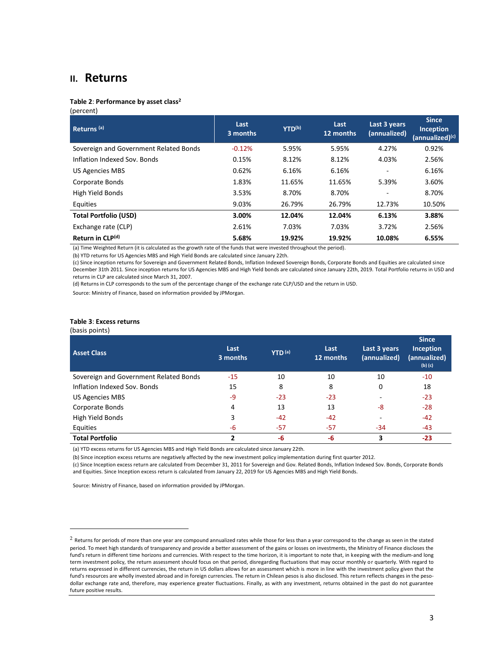## **II. Returns**

#### **Table 2**: **Performance by asset class<sup>2</sup>**

#### (percent)

| Returns <sup>(a)</sup>                 | Last<br>3 months | YTD(b) | Last<br>12 months | Last 3 years<br>(annualized) | <b>Since</b><br>Inception<br>(annualized) <sup>(c)</sup> |
|----------------------------------------|------------------|--------|-------------------|------------------------------|----------------------------------------------------------|
| Sovereign and Government Related Bonds | $-0.12%$         | 5.95%  | 5.95%             | 4.27%                        | 0.92%                                                    |
| Inflation Indexed Sov. Bonds           | 0.15%            | 8.12%  | 8.12%             | 4.03%                        | 2.56%                                                    |
| <b>US Agencies MBS</b>                 | 0.62%            | 6.16%  | 6.16%             | ٠                            | 6.16%                                                    |
| Corporate Bonds                        | 1.83%            | 11.65% | 11.65%            | 5.39%                        | 3.60%                                                    |
| High Yield Bonds                       | 3.53%            | 8.70%  | 8.70%             |                              | 8.70%                                                    |
| Equities                               | 9.03%            | 26.79% | 26.79%            | 12.73%                       | 10.50%                                                   |
| <b>Total Portfolio (USD)</b>           | 3.00%            | 12.04% | 12.04%            | 6.13%                        | 3.88%                                                    |
| Exchange rate (CLP)                    | 2.61%            | 7.03%  | 7.03%             | 3.72%                        | 2.56%                                                    |
| Return in CLP(d)                       | 5.68%            | 19.92% | 19.92%            | 10.08%                       | 6.55%                                                    |

(a) Time Weighted Return (it is calculated as the growth rate of the funds that were invested throughout the period).

(b) YTD returns for US Agencies MBS and High Yield Bonds are calculated since January 22th.

(c) Since inception returns for Sovereign and Government Related Bonds, Inflation Indexed Sovereign Bonds, Corporate Bonds and Equities are calculated since December 31th 2011. Since inception returns for US Agencies MBS and High Yield bonds are calculated since January 22th, 2019. Total Portfolio returns in USD and returns in CLP are calculated since March 31, 2007.

(d) Returns in CLP corresponds to the sum of the percentage change of the exchange rate CLP/USD and the return in USD.

Source: Ministry of Finance, based on information provided by JPMorgan.

#### **Table 3**: **Excess returns**

#### (basis points)

 $\overline{a}$ 

| <b>Asset Class</b>                     | Last<br>3 months | YTD <sup>(a)</sup> | Last<br>12 months | Last 3 years<br>(annualized) | <b>Since</b><br><b>Inception</b><br>(annualized)<br>$(b)$ $(c)$ |
|----------------------------------------|------------------|--------------------|-------------------|------------------------------|-----------------------------------------------------------------|
| Sovereign and Government Related Bonds | -15              | 10                 | 10                | 10                           | $-10$                                                           |
| Inflation Indexed Sov. Bonds           | 15               | 8                  | 8                 | 0                            | 18                                                              |
| US Agencies MBS                        | -9               | $-23$              | $-23$             |                              | $-23$                                                           |
| Corporate Bonds                        | 4                | 13                 | 13                | -8                           | $-28$                                                           |
| High Yield Bonds                       | 3                | $-42$              | $-42$             |                              | $-42$                                                           |
| Equities                               | -6               | -57                | $-57$             | -34                          | $-43$                                                           |
| <b>Total Portfolio</b>                 |                  | -6                 | -6                | 3                            | $-23$                                                           |

(a) YTD excess returns for US Agencies MBS and High Yield Bonds are calculated since January 22th.

(b) Since inception excess returns are negatively affected by the new investment policy implementation during first quarter 2012.

(c) Since Inception excess return are calculated from December 31, 2011 for Sovereign and Gov. Related Bonds, Inflation Indexed Sov. Bonds, Corporate Bonds and Equities. Since Inception excess return is calculated from January 22, 2019 for US Agencies MBS and High Yield Bonds.

 $2$  Returns for periods of more than one year are compound annualized rates while those for less than a year correspond to the change as seen in the stated period. To meet high standards of transparency and provide a better assessment of the gains or losses on investments, the Ministry of Finance discloses the fund's return in different time horizons and currencies. With respect to the time horizon, it is important to note that, in keeping with the medium-and long term investment policy, the return assessment should focus on that period, disregarding fluctuations that may occur monthly or quarterly. With regard to returns expressed in different currencies, the return in US dollars allows for an assessment which is more in line with the investment policy given that the fund's resources are wholly invested abroad and in foreign currencies. The return in Chilean pesos is also disclosed. This return reflects changes in the pesodollar exchange rate and, therefore, may experience greater fluctuations. Finally, as with any investment, returns obtained in the past do not guarantee future positive results.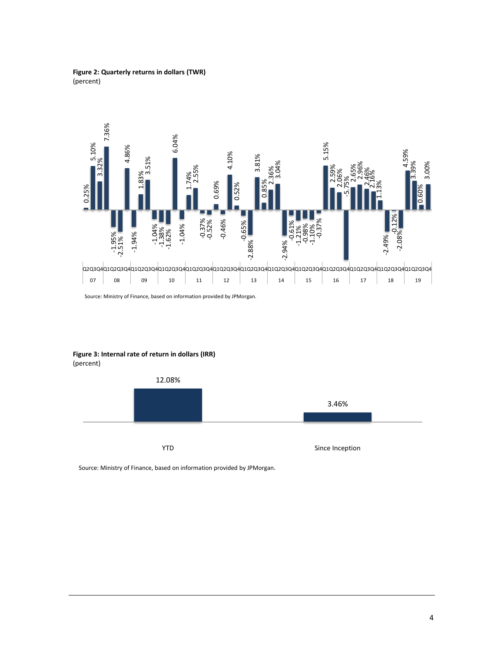**Figure 2: Quarterly returns in dollars (TWR)** (percent)



Source: Ministry of Finance, based on information provided by JPMorgan.

**Figure 3: Internal rate of return in dollars (IRR)** (percent)

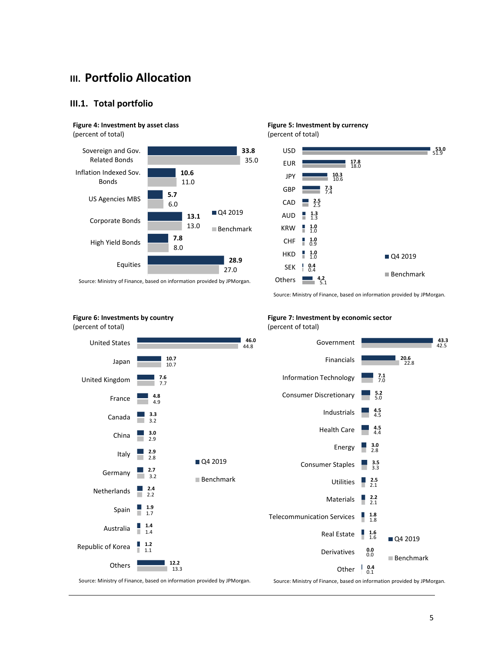# **III. Portfolio Allocation**

#### **III.1. Total portfolio**

### **Figure 4: Investment by asset class**

(percent of total)

(percent of total)



Source: Ministry of Finance, based on information provided by JPMorgan.



Source: Ministry of Finance, based on information provided by JPMorgan.

**Figure 6: Investments by country**

#### **Figure 7: Investment by economic sector** (percent of total)



Source: Ministry of Finance, based on information provided by JPMorgan.

Source: Ministry of Finance, based on information provided by JPMorgan.

5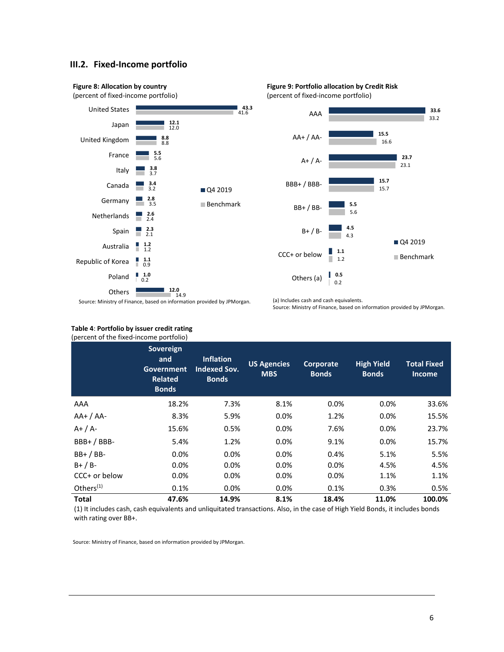#### **III.2. Fixed-Income portfolio**





#### **Table 4**: **Portfolio by issuer credit rating** (percent of the fixed-income portfolio)

(a) Includes cash and cash equivalents. Source: Ministry of Finance, based on information provided by JPMorgan.

| percent or the meeting portrollor |                                                                  |                                                         |                                  |                           |                                   |                                     |
|-----------------------------------|------------------------------------------------------------------|---------------------------------------------------------|----------------------------------|---------------------------|-----------------------------------|-------------------------------------|
|                                   | Sovereign<br>and<br>Government<br><b>Related</b><br><b>Bonds</b> | <b>Inflation</b><br><b>Indexed Sov.</b><br><b>Bonds</b> | <b>US Agencies</b><br><b>MBS</b> | Corporate<br><b>Bonds</b> | <b>High Yield</b><br><b>Bonds</b> | <b>Total Fixed</b><br><b>Income</b> |
| AAA                               | 18.2%                                                            | 7.3%                                                    | 8.1%                             | 0.0%                      | 0.0%                              | 33.6%                               |
| $AA+ / AA-$                       | 8.3%                                                             | 5.9%                                                    | 0.0%                             | 1.2%                      | 0.0%                              | 15.5%                               |
| $A+ / A-$                         | 15.6%                                                            | 0.5%                                                    | 0.0%                             | 7.6%                      | $0.0\%$                           | 23.7%                               |
| BBB+/BBB-                         | 5.4%                                                             | 1.2%                                                    | 0.0%                             | 9.1%                      | $0.0\%$                           | 15.7%                               |
| $BB+ / BB-$                       | 0.0%                                                             | 0.0%                                                    | 0.0%                             | 0.4%                      | 5.1%                              | 5.5%                                |
| $B+ / B-$                         | $0.0\%$                                                          | 0.0%                                                    | 0.0%                             | 0.0%                      | 4.5%                              | 4.5%                                |
| CCC+ or below                     | $0.0\%$                                                          | $0.0\%$                                                 | 0.0%                             | 0.0%                      | 1.1%                              | 1.1%                                |
| Others $(1)$                      | 0.1%                                                             | 0.0%                                                    | 0.0%                             | 0.1%                      | 0.3%                              | 0.5%                                |
| <b>Total</b>                      | 47.6%                                                            | 14.9%                                                   | 8.1%                             | 18.4%                     | 11.0%                             | 100.0%                              |

(1) It includes cash, cash equivalents and unliquitated transactions. Also, in the case of High Yield Bonds, it includes bonds with rating over BB+.

**Figure 9: Portfolio allocation by Credit Risk** (percent of fixed-income portfolio)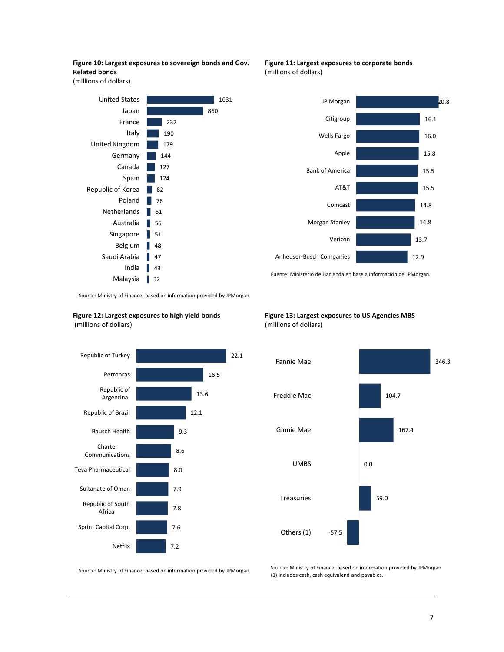**Figure 10: Largest exposures to sovereign bonds and Gov. Related bonds** 

(millions of dollars)



**Figure 11: Largest exposures to corporate bonds** (millions of dollars)



Fuente: Ministerio de Hacienda en base a información de JPMorgan.

Source: Ministry of Finance, based on information provided by JPMorgan. .

**Figure 12: Largest exposures to high yield bonds** (millions of dollars)







Source: Ministry of Finance, based on information provided by JPMorgan.

Source: Ministry of Finance, based on information provided by JPMorgan (1) Includes cash, cash equivalend and payables.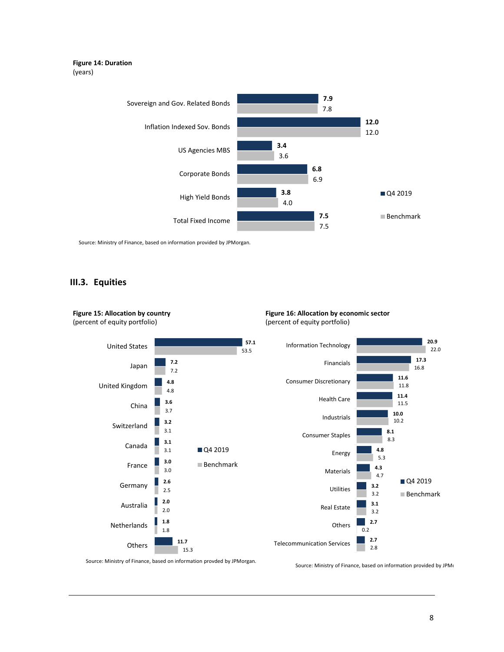#### **Figure 14: Duration** (years)



Source: Ministry of Finance, based on information provided by JPMorgan.

#### **III.3. Equities**

**Figure 15: Allocation by country**



**Figure 16: Allocation by economic sector** (percent of equity portfolio)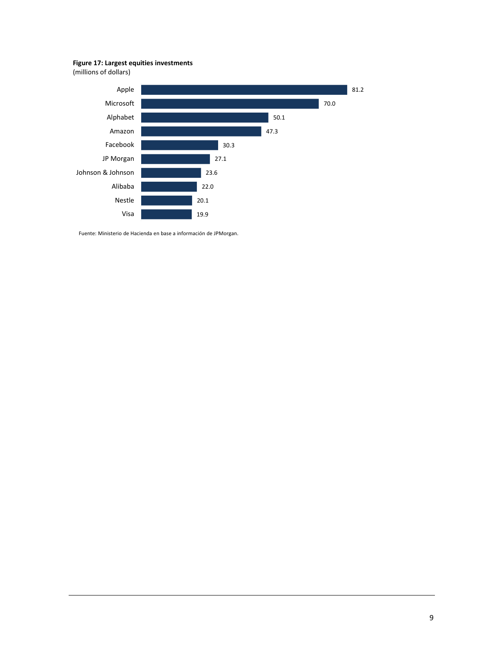#### **Figure 17: Largest equities investments**

(millions of dollars)



Fuente: Ministerio de Hacienda en base a información de JPMorgan.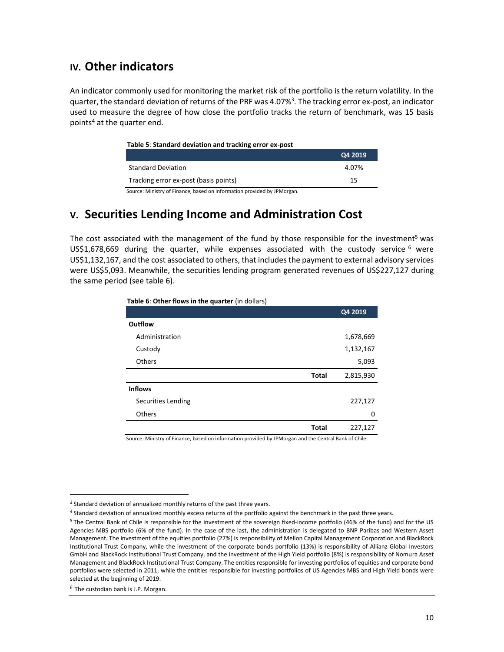# **IV. Other indicators**

An indicator commonly used for monitoring the market risk of the portfolio is the return volatility. In the quarter, the standard deviation of returns of the PRF was 4.07%<sup>3</sup>. The tracking error ex-post, an indicator used to measure the degree of how close the portfolio tracks the return of benchmark, was 15 basis points<sup>4</sup> at the quarter end.

#### **Table 5**: **Standard deviation and tracking error ex-post**

|                                       | Q4 2019 |
|---------------------------------------|---------|
| <b>Standard Deviation</b>             | 4.07%   |
| Tracking error ex-post (basis points) | 15      |

Source: Ministry of Finance, based on information provided by JPMorgan.

# **V. Securities Lending Income and Administration Cost**

The cost associated with the management of the fund by those responsible for the investment<sup>5</sup> was US\$1,678,669 during the quarter, while expenses associated with the custody service  $6\text{ were}$ US\$1,132,167, and the cost associated to others, that includes the payment to external advisory services were US\$5,093. Meanwhile, the securities lending program generated revenues of US\$227,127 during the same period (see table 6).

| Table 6: Other flows in the quarter (in dollars) |  |
|--------------------------------------------------|--|
|--------------------------------------------------|--|

|                    |              | Q4 2019   |
|--------------------|--------------|-----------|
| <b>Outflow</b>     |              |           |
| Administration     |              | 1,678,669 |
| Custody            |              | 1,132,167 |
| Others             |              | 5,093     |
|                    | <b>Total</b> | 2,815,930 |
| <b>Inflows</b>     |              |           |
| Securities Lending |              | 227,127   |
| Others             |              | 0         |
|                    | <b>Total</b> | 227,127   |
| .<br>.             |              | .         |

Source: Ministry of Finance, based on information provided by JPMorgan and the Central Bank of Chile.

 $\overline{a}$ 

<sup>&</sup>lt;sup>3</sup> Standard deviation of annualized monthly returns of the past three years.

<sup>4</sup> Standard deviation of annualized monthly excess returns of the portfolio against the benchmark in the past three years.

<sup>5</sup> The Central Bank of Chile is responsible for the investment of the sovereign fixed-income portfolio (46% of the fund) and for the US Agencies MBS portfolio (6% of the fund). In the case of the last, the administration is delegated to BNP Paribas and Western Asset Management. The investment of the equities portfolio (27%) is responsibility of Mellon Capital Management Corporation and BlackRock Institutional Trust Company, while the investment of the corporate bonds portfolio (13%) is responsibility of Allianz Global Investors GmbH and BlackRock Institutional Trust Company, and the investment of the High Yield portfolio (8%) is responsibility of Nomura Asset Management and BlackRock Institutional Trust Company. The entities responsible for investing portfolios of equities and corporate bond portfolios were selected in 2011, while the entities responsible for investing portfolios of US Agencies MBS and High Yield bonds were selected at the beginning of 2019.

<sup>6</sup> The custodian bank is J.P. Morgan.